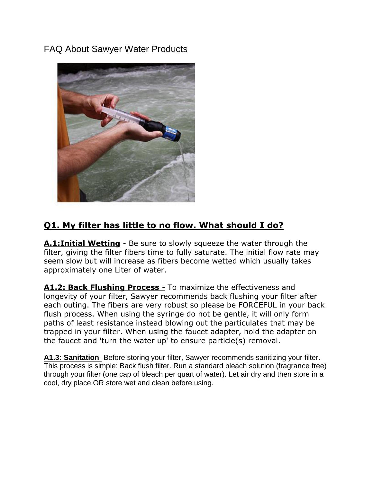FAQ About Sawyer Water Products



# **Q1. My filter has little to no flow. What should I do?**

**A.1:Initial Wetting** - Be sure to slowly squeeze the water through the filter, giving the filter fibers time to fully saturate. The initial flow rate may seem slow but will increase as fibers become wetted which usually takes approximately one Liter of water.

**A1.2: Back Flushing Process** *-* To maximize the effectiveness and longevity of your filter, Sawyer recommends back flushing your filter after each outing. The fibers are very robust so please be FORCEFUL in your back flush process. When using the syringe do not be gentle, it will only form paths of least resistance instead blowing out the particulates that may be trapped in your filter. When using the faucet adapter, hold the adapter on the faucet and 'turn the water up' to ensure particle(s) removal.

**A1.3: Sanitation**- Before storing your filter, Sawyer recommends sanitizing your filter. This process is simple: Back flush filter. Run a standard bleach solution (fragrance free) through your filter (one cap of bleach per quart of water). Let air dry and then store in a cool, dry place OR store wet and clean before using.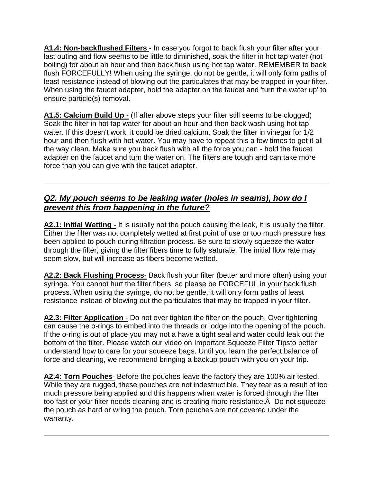**A1.4: Non-backflushed Filters** - In case you forgot to back flush your filter after your last outing and flow seems to be little to diminished, soak the filter in hot tap water (not boiling) for about an hour and then back flush using hot tap water. REMEMBER to back flush FORCEFULLY! When using the syringe, do not be gentle, it will only form paths of least resistance instead of blowing out the particulates that may be trapped in your filter. When using the faucet adapter, hold the adapter on the faucet and 'turn the water up' to ensure particle(s) removal.

A1.5: Calcium Build Up - (If after above steps your filter still seems to be clogged) Soak the filter in hot tap water for about an hour and then back wash using hot tap water. If this doesn't work, it could be dried calcium. Soak the filter in vinegar for 1/2 hour and then flush with hot water. You may have to repeat this a few times to get it all the way clean. Make sure you back flush with all the force you can - hold the faucet adapter on the faucet and turn the water on. The filters are tough and can take more force than you can give with the faucet adapter.

# *Q2. My pouch seems to be leaking water (holes in seams), how do I prevent this from happening in the future?*

**A2.1: Initial Wetting** - It is usually not the pouch causing the leak, it is usually the filter. Either the filter was not completely wetted at first point of use or too much pressure has been applied to pouch during filtration process. Be sure to slowly squeeze the water through the filter, giving the filter fibers time to fully saturate. The initial flow rate may seem slow, but will increase as fibers become wetted.

**A2.2: Back Flushing Process**- Back flush your filter (better and more often) using your syringe. You cannot hurt the filter fibers, so please be FORCEFUL in your back flush process. When using the syringe, do not be gentle, it will only form paths of least resistance instead of blowing out the particulates that may be trapped in your filter.

**A2.3: Filter Application** - Do not over tighten the filter on the pouch. Over tightening can cause the o-rings to embed into the threads or lodge into the opening of the pouch. If the o-ring is out of place you may not a have a tight seal and water could leak out the bottom of the filter. Please watch our video on [Important Squeeze Filter Tipst](http://youtu.be/VDXUQcAS63A)o better understand how to care for your squeeze bags. Until you learn the perfect balance of force and cleaning, we recommend bringing a backup pouch with you on your trip.

**A2.4: Torn Pouches**- Before the pouches leave the factory they are 100% air tested. While they are rugged, these pouches are not indestructible. They tear as a result of too much pressure being applied and this happens when water is forced through the filter too fast or your filter needs cleaning and is creating more resistance.Â Do not squeeze the pouch as hard or wring the pouch. Torn pouches are not covered under the warranty.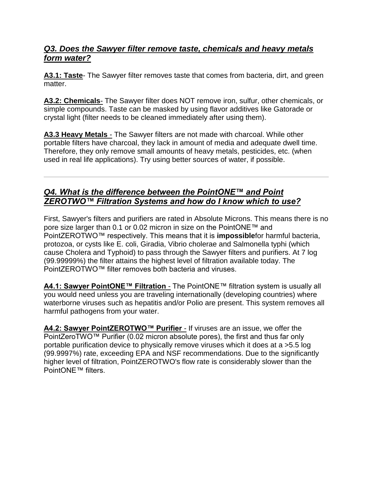#### *Q3. Does the Sawyer filter remove taste, chemicals and heavy metals form water?*

**A3.1: Taste**- The Sawyer filter removes taste that comes from bacteria, dirt, and green matter.

**A3.2: Chemicals**- The Sawyer filter does NOT remove iron, sulfur, other chemicals, or simple compounds. Taste can be masked by using flavor additives like Gatorade or crystal light (filter needs to be cleaned immediately after using them).

**A3.3 Heavy Metals** - The Sawyer filters are not made with charcoal. While other portable filters have charcoal, they lack in amount of media and adequate dwell time. Therefore, they only remove small amounts of heavy metals, pesticides, etc. (when used in real life applications). Try using better sources of water, if possible.

### *Q4. What is the difference between the PointONE™ and Point ZEROTWO™ Filtration Systems and how do I know which to use?*

First, Sawyer's filters and purifiers are rated in Absolute Microns. This means there is no pore size larger than 0.1 or 0.02 micron in size on the PointONE™ and PointZEROTWO™ respectively. This means that it is **impossible**for harmful bacteria, protozoa, or cysts like E. coli, Giradia, Vibrio cholerae and Salmonella typhi (which cause Cholera and Typhoid) to pass through the Sawyer filters and purifiers. At 7 log (99.99999%) the filter attains the highest level of filtration available today. The PointZEROTWO™ filter removes both bacteria and viruses.

**A4.1: Sawyer PointONE™ Filtration - The PointONE™ filtration system is usually all** you would need unless you are traveling internationally (developing countries) where waterborne viruses such as hepatitis and/or Polio are present. This system removes all harmful pathogens from your water.

**A4.2: Sawyer PointZEROTWO™ Purifier** - If viruses are an issue, we offer the PointZeroTWO™ Purifier (0.02 micron absolute pores), the first and thus far only portable purification device to physically remove viruses which it does at a >5.5 log (99.9997%) rate, exceeding EPA and NSF recommendations. Due to the significantly higher level of filtration, PointZEROTWO's flow rate is considerably slower than the PointONE™ filters.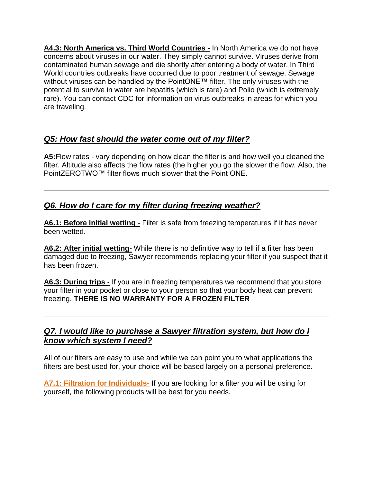**A4.3: North America vs. Third World Countries** - In North America we do not have concerns about viruses in our water. They simply cannot survive. Viruses derive from contaminated human sewage and die shortly after entering a body of water. In Third World countries outbreaks have occurred due to poor treatment of sewage. Sewage without viruses can be handled by the PointONE™ filter. The only viruses with the potential to survive in water are hepatitis (which is rare) and Polio (which is extremely rare). You can contact CDC for information on virus outbreaks in areas for which you are traveling.

## *Q5: How fast should the water come out of my filter?*

**A5:**Flow rates - vary depending on how clean the filter is and how well you cleaned the filter. Altitude also affects the flow rates (the higher you go the slower the flow. Also, the PointZEROTWO™ filter flows much slower that the Point ONE.

## *Q6. How do I care for my filter during freezing weather?*

**A6.1: Before initial wetting** - Filter is safe from freezing temperatures if it has never been wetted.

**A6.2: After initial wetting**- While there is no definitive way to tell if a filter has been damaged due to freezing, Sawyer recommends replacing your filter if you suspect that it has been frozen.

**A6.3: During trips** - If you are in freezing temperatures we recommend that you store your filter in your pocket or close to your person so that your body heat can prevent freezing. **THERE IS NO WARRANTY FOR A FROZEN FILTER**

#### *Q7. I would like to purchase a Sawyer filtration system, but how do I know which system I need?*

All of our filters are easy to use and while we can point you to what applications the filters are best used for, your choice will be based largely on a personal preference.

**A7.1: Filtration for Individuals**- If you are looking for a filter you will be using for yourself, the following products will be best for you needs.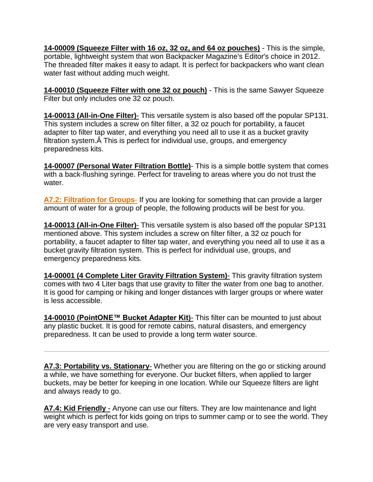**14-00009 (Squeeze Filter with 16 oz, 32 oz, and 64 oz pouches)** - This is the simple, portable, lightweight system that won [Backpacker Magazine's Editor's choice in 2012.](http://www.sawyer.com/awards.html) The threaded filter makes it easy to adapt. It is perfect for backpackers who want clean water fast without adding much weight.

**14-00010 (Squeeze Filter with one 32 oz pouch)** - This is the same Sawyer Squeeze Filter but only includes one 32 oz pouch.

**14-00013 (All-in-One Filter)**- This versatile system is also based off the popular SP131. This system includes a screw on filter filter, a 32 oz pouch for portability, a faucet adapter to filter tap water, and everything you need all to use it as a bucket gravity filtration system.Â This is perfect for individual use, groups, and emergency preparedness kits.

**14-00007 (Personal Water Filtration Bottle)**- This is a simple bottle system that comes with a back-flushing syringe. Perfect for traveling to areas where you do not trust the water.

**A7.2: Filtration for Groups**- If you are looking for something that can provide a larger amount of water for a group of people, the following products will be best for you.

**14-00013 (All-in-One Filter)**- This versatile system is also based off the popular SP131 mentioned above. This system includes a screw on filter filter, a 32 oz pouch for portability, a faucet adapter to filter tap water, and everything you need all to use it as a bucket gravity filtration system. This is perfect for individual use, groups, and emergency preparedness kits.

**14-00001 (4 Complete Liter Gravity Filtration System)**- This gravity filtration system comes with two 4 Liter bags that use gravity to filter the water from one bag to another. It is good for camping or hiking and longer distances with larger groups or where water is less accessible.

**14-00010 (PointONE™ Bucket Adapter Kit)**- This filter can be mounted to just about any plastic bucket. It is good for remote cabins, natural disasters, and emergency preparedness. It can be used to provide a long term water source.

**A7.3: Portability vs. Stationary**- Whether you are filtering on the go or sticking around a while, we have something for everyone. Our bucket filters, when applied to larger buckets, may be better for keeping in one location. While our Squeeze filters are light and always ready to go.

**A7.4: Kid Friendly** - Anyone can use our filters. They are low maintenance and light weight which is perfect for kids going on trips to summer camp or to see the world. They are very easy transport and use.